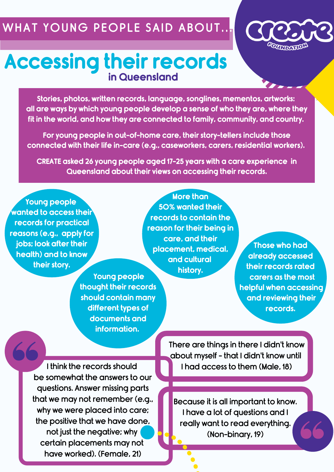## WHAT YOUNG PEOPLE SAID ABOUT.



## **Accessing their records in Queensland**

**Stories, photos, written records, language, songlines, mementos, artworks: all are ways by which young people develop a sense of who they are, where they fit in the world, and how they are connected to family, community, and country.**

**For young people in out-of-home care, their story-tellers include those connected with their life in-care (e.g., caseworkers, carers, residential workers).**

**CREATE asked 26 young people aged 17-25 years with a care experience in Queensland about their views on accessing their records.**

**Young people wanted to access their records for practical reasons (e.g., apply for jobs; look after their health) and to know their story.**

**More than 50% wanted their records to contain the reason for their being in care, and their placement, medical, and cultural history.**

**Those who had already accessed their records rated carers as the most helpful when accessing and reviewing their records.**

**Young people thought their records should contain many different types of documents and information.**

I think the records should be somewhat the answers to our questions. Answer missing parts that we may not remember (e.g., why we were placed into care; the positive that we have done, not just the negative; why certain placements may not have worked). (Female, 21)

There are things in there I didn't know about myself - that I didn't know until I had access to them (Male, 18)

Because it is all important to know. I have a lot of questions and I really want to read everything. (Non-binary, 19)